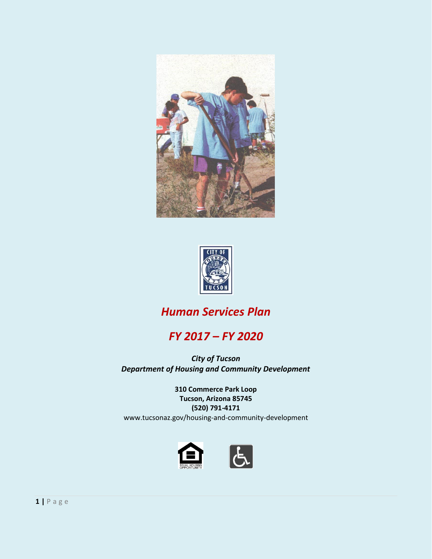



# *Human Services Plan*

# *FY 2017 – FY 2020*

*City of Tucson Department of Housing and Community Development*

> **310 Commerce Park Loop Tucson, Arizona 85745 (520) 791-4171**

www.tucsonaz.gov/housing-and-community-development

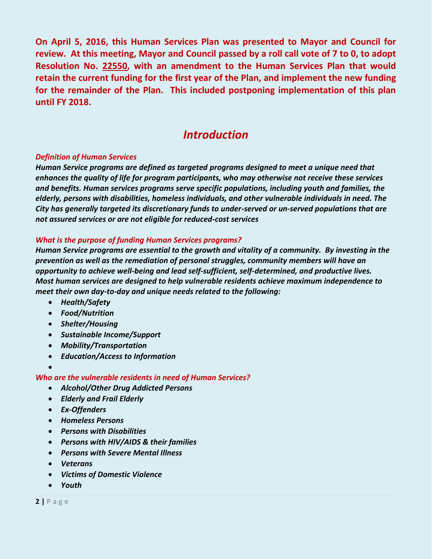**On April 5, 2016, this Human Services Plan was presented to Mayor and Council for review. At this meeting, Mayor and Council passed by a roll call vote of 7 to 0, to adopt Resolution No. 22550, with an amendment to the Human Services Plan that would retain the current funding for the first year of the Plan, and implement the new funding for the remainder of the Plan. This included postponing implementation of this plan until FY 2018.**

# *Introduction*

#### *Definition of Human Services*

*Human Service programs are defined as targeted programs designed to meet a unique need that enhances the quality of life for program participants, who may otherwise not receive these services and benefits. Human services programs serve specific populations, including youth and families, the elderly, persons with disabilities, homeless individuals, and other vulnerable individuals in need. The City has generally targeted its discretionary funds to under-served or un-served populations that are not assured services or are not eligible for reduced-cost services*

#### *What is the purpose of funding Human Services programs?*

*Human Service programs are essential to the growth and vitality of a community. By investing in the prevention as well as the remediation of personal struggles, community members will have an opportunity to achieve well-being and lead self-sufficient, self-determined, and productive lives. Most human services are designed to help vulnerable residents achieve maximum independence to meet their own day-to-day and unique needs related to the following:* 

- *Health/Safety*
- *Food/Nutrition*
- *Shelter/Housing*
- *Sustainable Income/Support*
- *Mobility/Transportation*
- *Education/Access to Information*
- $\bullet$

#### *Who are the vulnerable residents in need of Human Services?*

- *Alcohol/Other Drug Addicted Persons*
- *Elderly and Frail Elderly*
- *Ex-Offenders*
- *Homeless Persons*
- *Persons with Disabilities*
- *Persons with HIV/AIDS & their families*
- *Persons with Severe Mental Illness*
- *Veterans*
- *Victims of Domestic Violence*
- *Youth*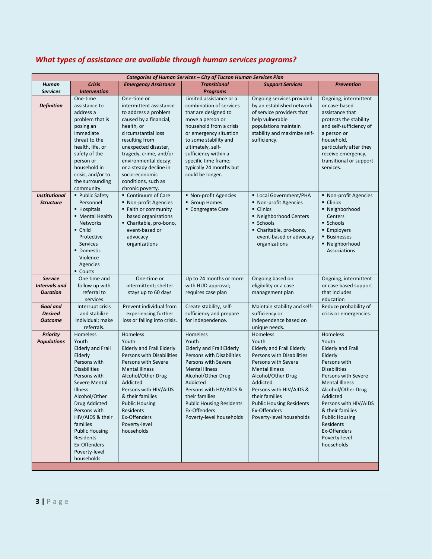|                                         | Categories of Human Services - City of Tucson Human Services Plan |                                                  |                                                         |                                                  |                                                   |  |  |  |
|-----------------------------------------|-------------------------------------------------------------------|--------------------------------------------------|---------------------------------------------------------|--------------------------------------------------|---------------------------------------------------|--|--|--|
| Human                                   | <b>Crisis</b>                                                     | <b>Emergency Assistance</b>                      | <b>Transitional</b>                                     | <b>Support Services</b>                          | <b>Prevention</b>                                 |  |  |  |
| <b>Services</b>                         | <b>Intervention</b>                                               |                                                  | <b>Programs</b>                                         |                                                  |                                                   |  |  |  |
|                                         | One-time                                                          | One-time or                                      | Limited assistance or a                                 | Ongoing services provided                        | Ongoing, intermittent                             |  |  |  |
| <b>Definition</b>                       | assistance to                                                     | intermittent assistance                          | combination of services                                 | by an established network                        | or case-based                                     |  |  |  |
|                                         | address a                                                         | to address a problem                             | that are designed to                                    | of service providers that                        | assistance that                                   |  |  |  |
|                                         | problem that is<br>posing an                                      | caused by a financial,<br>health, or             | move a person or<br>household from a crisis             | help vulnerable<br>populations maintain          | protects the stability<br>and self-sufficiency of |  |  |  |
|                                         | immediate                                                         | circumstantial loss                              | or emergency situation                                  | stability and maximize self-                     | a person or                                       |  |  |  |
|                                         | threat to the                                                     | resulting from                                   | to some stability and                                   | sufficiency.                                     | household,                                        |  |  |  |
|                                         | health, life, or                                                  | unexpected disaster,                             | ultimately, self-                                       |                                                  | particularly after they                           |  |  |  |
|                                         | safety of the                                                     | tragedy, crime, and/or                           | sufficiency within a                                    |                                                  | receive emergency,                                |  |  |  |
|                                         | person or                                                         | environmental decay;                             | specific time frame;                                    |                                                  | transitional or support                           |  |  |  |
|                                         | household in                                                      | or a steady decline in                           | typically 24 months but                                 |                                                  | services.                                         |  |  |  |
|                                         | crisis, and/or to                                                 | socio-economic                                   | could be longer.                                        |                                                  |                                                   |  |  |  |
|                                         | the surrounding                                                   | conditions, such as                              |                                                         |                                                  |                                                   |  |  |  |
|                                         | community.                                                        | chronic poverty.                                 |                                                         |                                                  |                                                   |  |  |  |
| <b>Institutional</b>                    | ■ Public Safety                                                   | Continuum of Care                                | • Non-profit Agencies                                   | <b>Local Government/PHA</b>                      | • Non-profit Agencies                             |  |  |  |
| <b>Structure</b>                        | Personnel<br>■ Hospitals                                          | ■ Non-profit Agencies<br>■ Faith or community    | Group Homes<br>Congregate Care                          | ■ Non-profit Agencies<br>• Clinics               | • Clinics<br>• Neighborhood                       |  |  |  |
|                                         | • Mental Health                                                   | based organizations                              |                                                         | ■ Neighborhood Centers                           | Centers                                           |  |  |  |
|                                         | <b>Networks</b>                                                   | Charitable, pro-bono,                            |                                                         | Schools -                                        | Schools -                                         |  |  |  |
|                                         | $\blacksquare$ Child                                              | event-based or                                   |                                                         | Charitable, pro-bono,                            | ■ Employers                                       |  |  |  |
|                                         | Protective                                                        | advocacy                                         |                                                         | event-based or advocacy                          | <b>Businesses</b>                                 |  |  |  |
|                                         | <b>Services</b>                                                   | organizations                                    |                                                         | organizations                                    | • Neighborhood                                    |  |  |  |
|                                         | • Domestic                                                        |                                                  |                                                         |                                                  | Associations                                      |  |  |  |
|                                         | Violence                                                          |                                                  |                                                         |                                                  |                                                   |  |  |  |
|                                         | Agencies                                                          |                                                  |                                                         |                                                  |                                                   |  |  |  |
|                                         | - Courts                                                          |                                                  |                                                         |                                                  |                                                   |  |  |  |
| <b>Service</b>                          | One time and                                                      | One-time or                                      | Up to 24 months or more                                 | Ongoing based on                                 | Ongoing, intermittent                             |  |  |  |
| <b>Intervals and</b><br><b>Duration</b> | follow up with<br>referral to                                     | intermittent; shelter                            | with HUD approval;                                      | eligibility or a case                            | or case based support<br>that includes            |  |  |  |
|                                         | services                                                          | stays up to 60 days                              | requires case plan                                      | management plan                                  | education                                         |  |  |  |
| Goal and                                | Interrupt crisis                                                  | Prevent individual from                          | Create stability, self-                                 | Maintain stability and self-                     | Reduce probability of                             |  |  |  |
| <b>Desired</b>                          | and stabilize                                                     | experiencing further                             | sufficiency and prepare                                 | sufficiency or                                   | crisis or emergencies.                            |  |  |  |
| <b>Outcome</b>                          | individual; make                                                  | loss or falling into crisis.                     | for independence.                                       | independence based on                            |                                                   |  |  |  |
|                                         | referrals.                                                        |                                                  |                                                         | unique needs.                                    |                                                   |  |  |  |
| <b>Priority</b>                         | Homeless                                                          | <b>Homeless</b>                                  | <b>Homeless</b>                                         | Homeless                                         | <b>Homeless</b>                                   |  |  |  |
| <b>Populations</b>                      | Youth                                                             | Youth                                            | Youth                                                   | Youth                                            | Youth                                             |  |  |  |
|                                         | <b>Elderly and Frail</b>                                          | <b>Elderly and Frail Elderly</b>                 | <b>Elderly and Frail Elderly</b>                        | <b>Elderly and Frail Elderly</b>                 | <b>Elderly and Frail</b>                          |  |  |  |
|                                         | Elderly<br>Persons with                                           | Persons with Disabilities<br>Persons with Severe | <b>Persons with Disabilities</b><br>Persons with Severe | Persons with Disabilities<br>Persons with Severe | Elderly<br>Persons with                           |  |  |  |
|                                         | <b>Disabilities</b>                                               | <b>Mental Illness</b>                            | <b>Mental Illness</b>                                   | <b>Mental Illness</b>                            | <b>Disabilities</b>                               |  |  |  |
|                                         | Persons with                                                      | Alcohol/Other Drug                               | Alcohol/Other Drug                                      | Alcohol/Other Drug                               | Persons with Severe                               |  |  |  |
|                                         | Severe Mental                                                     | Addicted                                         | Addicted                                                | Addicted                                         | <b>Mental Illness</b>                             |  |  |  |
|                                         | Illness                                                           | Persons with HIV/AIDS                            | Persons with HIV/AIDS &                                 | Persons with HIV/AIDS &                          | Alcohol/Other Drug                                |  |  |  |
|                                         | Alcohol/Other                                                     | & their families                                 | their families                                          | their families                                   | Addicted                                          |  |  |  |
|                                         | Drug Addicted                                                     | <b>Public Housing</b>                            | <b>Public Housing Residents</b>                         | <b>Public Housing Residents</b>                  | Persons with HIV/AIDS                             |  |  |  |
|                                         | Persons with                                                      | Residents                                        | Ex-Offenders                                            | Ex-Offenders                                     | & their families                                  |  |  |  |
|                                         | HIV/AIDS & their                                                  | Ex-Offenders                                     | Poverty-level households                                | Poverty-level households                         | <b>Public Housing</b>                             |  |  |  |
|                                         | families                                                          | Poverty-level                                    |                                                         |                                                  | Residents                                         |  |  |  |
|                                         | <b>Public Housing</b>                                             | households                                       |                                                         |                                                  | Ex-Offenders                                      |  |  |  |
|                                         | Residents<br>Ex-Offenders                                         |                                                  |                                                         |                                                  | Poverty-level<br>households                       |  |  |  |
|                                         | Poverty-level                                                     |                                                  |                                                         |                                                  |                                                   |  |  |  |
|                                         | households                                                        |                                                  |                                                         |                                                  |                                                   |  |  |  |

# *What types of assistance are available through human services programs?*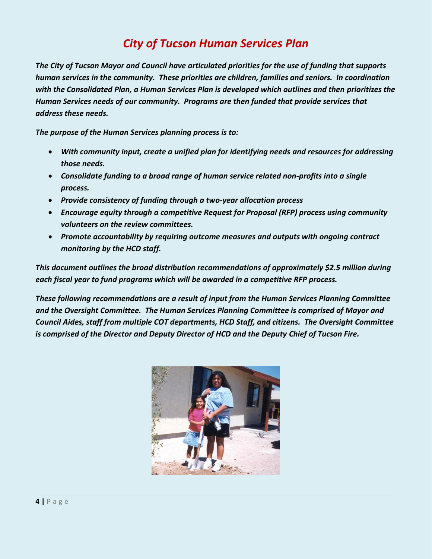# *City of Tucson Human Services Plan*

*The City of Tucson Mayor and Council have articulated priorities for the use of funding that supports human services in the community. These priorities are children, families and seniors. In coordination with the Consolidated Plan, a Human Services Plan is developed which outlines and then prioritizes the Human Services needs of our community. Programs are then funded that provide services that address these needs.*

*The purpose of the Human Services planning process is to:*

- *With community input, create a unified plan for identifying needs and resources for addressing those needs.*
- *Consolidate funding to a broad range of human service related non-profits into a single process.*
- *Provide consistency of funding through a two-year allocation process*
- *Encourage equity through a competitive Request for Proposal (RFP) process using community volunteers on the review committees.*
- *Promote accountability by requiring outcome measures and outputs with ongoing contract monitoring by the HCD staff.*

*This document outlines the broad distribution recommendations of approximately \$2.5 million during each fiscal year to fund programs which will be awarded in a competitive RFP process.*

*These following recommendations are a result of input from the Human Services Planning Committee and the Oversight Committee. The Human Services Planning Committee is comprised of Mayor and Council Aides, staff from multiple COT departments, HCD Staff, and citizens. The Oversight Committee is comprised of the Director and Deputy Director of HCD and the Deputy Chief of Tucson Fire.*

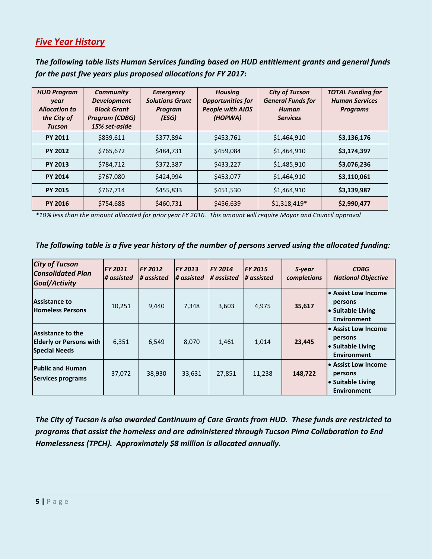## *Five Year History*

*The following table lists Human Services funding based on HUD entitlement grants and general funds for the past five years plus proposed allocations for FY 2017:*

| <b>HUD Program</b><br>year<br><b>Allocation to</b><br>the City of<br><b>Tucson</b> | <b>Community</b><br><b>Development</b><br><b>Block Grant</b><br><b>Program (CDBG)</b><br>15% set-aside | <b>Emergency</b><br><b>Solutions Grant</b><br>Program<br>(ESG) | <b>Housing</b><br><b>Opportunities for</b><br><b>People with AIDS</b><br>(HOPWA) | <b>City of Tucson</b><br><b>General Funds for</b><br>Human<br><b>Services</b> | <b>TOTAL Funding for</b><br><b>Human Services</b><br><b>Programs</b> |
|------------------------------------------------------------------------------------|--------------------------------------------------------------------------------------------------------|----------------------------------------------------------------|----------------------------------------------------------------------------------|-------------------------------------------------------------------------------|----------------------------------------------------------------------|
| <b>PY 2011</b>                                                                     | \$839,611                                                                                              | \$377,894                                                      | \$453,761                                                                        | \$1,464,910                                                                   | \$3,136,176                                                          |
| <b>PY 2012</b>                                                                     | \$765,672                                                                                              | \$484,731                                                      | \$459,084                                                                        | \$1,464,910                                                                   | \$3,174,397                                                          |
| <b>PY 2013</b>                                                                     | \$784,712                                                                                              | \$372,387                                                      | \$433,227                                                                        | \$1,485,910                                                                   | \$3,076,236                                                          |
| <b>PY 2014</b>                                                                     | \$767,080                                                                                              | \$424,994                                                      | \$453,077                                                                        | \$1,464,910                                                                   | \$3,110,061                                                          |
| <b>PY 2015</b>                                                                     | \$767,714                                                                                              | \$455,833                                                      | \$451,530                                                                        | \$1,464,910                                                                   | \$3,139,987                                                          |
| <b>PY 2016</b>                                                                     | \$754,688                                                                                              | \$460,731                                                      | \$456,639                                                                        | $$1,318,419*$                                                                 | \$2,990,477                                                          |

*\*10% less than the amount allocated for prior year FY 2016. This amount will require Mayor and Council approval*

#### *The following table is a five year history of the number of persons served using the allocated funding:*

| <b>City of Tucson</b><br><b>Consolidated Plan</b><br>Goal/Activity                 | FY 2011<br># assisted | <b>FY 2012</b><br># assisted | <b>FY 2013</b><br># assisted | <b>FY 2014</b><br># assisted | <b>FY 2015</b><br># assisted | 5-year<br>completions | <b>CDBG</b><br><b>National Objective</b>                                  |
|------------------------------------------------------------------------------------|-----------------------|------------------------------|------------------------------|------------------------------|------------------------------|-----------------------|---------------------------------------------------------------------------|
| Assistance to<br><b>Homeless Persons</b>                                           | 10,251                | 9,440                        | 7,348                        | 3,603                        | 4,975                        | 35,617                | • Assist Low Income<br>persons<br>• Suitable Living<br><b>Environment</b> |
| <b>Assistance to the</b><br><b>Elderly or Persons with</b><br><b>Special Needs</b> | 6,351                 | 6,549                        | 8,070                        | 1,461                        | 1,014                        | 23,445                | • Assist Low Income<br>persons<br>• Suitable Living<br><b>Environment</b> |
| <b>Public and Human</b><br><b>Services programs</b>                                | 37,072                | 38,930                       | 33,631                       | 27,851                       | 11,238                       | 148,722               | • Assist Low Income<br>persons<br>• Suitable Living<br><b>Environment</b> |

*The City of Tucson is also awarded Continuum of Care Grants from HUD. These funds are restricted to programs that assist the homeless and are administered through Tucson Pima Collaboration to End Homelessness (TPCH). Approximately \$8 million is allocated annually.*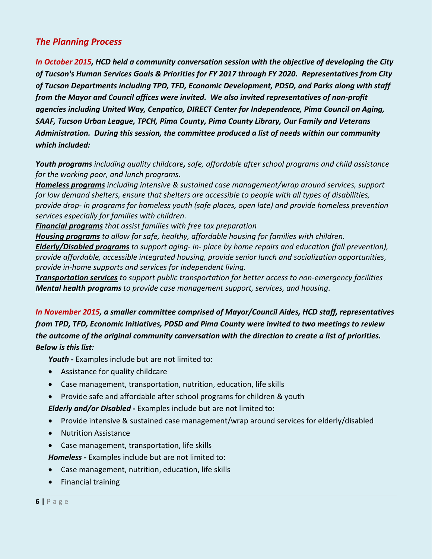# *The Planning Process*

*In October 2015, HCD held a community conversation session with the objective of developing the City of Tucson's Human Services Goals & Priorities for FY 2017 through FY 2020. Representatives from City of Tucson Departments including TPD, TFD, Economic Development, PDSD, and Parks along with staff from the Mayor and Council offices were invited. We also invited representatives of non-profit agencies including United Way, Cenpatico, DIRECT Center for Independence, Pima Council on Aging, SAAF, Tucson Urban League, TPCH, Pima County, Pima County Library, Our Family and Veterans Administration. During this session, the committee produced a list of needs within our community which included:*

*Youth programs including quality childcare, safe, affordable after school programs and child assistance for the working poor, and lunch programs.*

*Homeless programs including intensive & sustained case management/wrap around services, support for low demand shelters, ensure that shelters are accessible to people with all types of disabilities, provide drop- in programs for homeless youth (safe places, open late) and provide homeless prevention services especially for families with children.*

*Financial programs that assist families with free tax preparation*

*Housing programs to allow for safe, healthy, affordable housing for families with children. Elderly/Disabled programs to support aging- in- place by home repairs and education (fall prevention), provide affordable, accessible integrated housing, provide senior lunch and socialization opportunities, provide in-home supports and services for independent living.*

*Transportation services to support public transportation for better access to non-emergency facilities Mental health programs to provide case management support, services, and housing.*

*In November 2015, a smaller committee comprised of Mayor/Council Aides, HCD staff, representatives from TPD, TFD, Economic Initiatives, PDSD and Pima County were invited to two meetings to review the outcome of the original community conversation with the direction to create a list of priorities. Below is this list:*

*Youth -* Examples include but are not limited to:

- Assistance for quality childcare
- Case management, transportation, nutrition, education, life skills
- Provide safe and affordable after school programs for children & youth

*Elderly and/or Disabled -* Examples include but are not limited to:

- Provide intensive & sustained case management/wrap around services for elderly/disabled
- Nutrition Assistance
- Case management, transportation, life skills

*Homeless -* Examples include but are not limited to:

- Case management, nutrition, education, life skills
- Financial training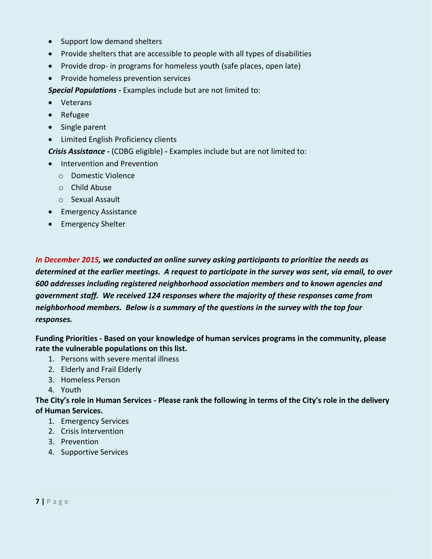- Support low demand shelters
- Provide shelters that are accessible to people with all types of disabilities
- Provide drop- in programs for homeless youth (safe places, open late)
- Provide homeless prevention services

*Special Populations -* Examples include but are not limited to:

- Veterans
- Refugee
- Single parent
- Limited English Proficiency clients

*Crisis Assistance -* (CDBG eligible) *-* Examples include but are not limited to:

- Intervention and Prevention
	- o Domestic Violence
	- o Child Abuse
	- o Sexual Assault
- Emergency Assistance
- Emergency Shelter

*In December 2015, we conducted an online survey asking participants to prioritize the needs as determined at the earlier meetings. A request to participate in the survey was sent, via email, to over 600 addresses including registered neighborhood association members and to known agencies and government staff. We received 124 responses where the majority of these responses came from neighborhood members. Below is a summary of the questions in the survey with the top four responses.* 

**Funding Priorities - Based on your knowledge of human services programs in the community, please rate the vulnerable populations on this list.**

- 1. Persons with severe mental illness
- 2. Elderly and Frail Elderly
- 3. Homeless Person
- 4. Youth

**The City's role in Human Services - Please rank the following in terms of the City's role in the delivery of Human Services.**

- 1. Emergency Services
- 2. Crisis Intervention
- 3. Prevention
- 4. Supportive Services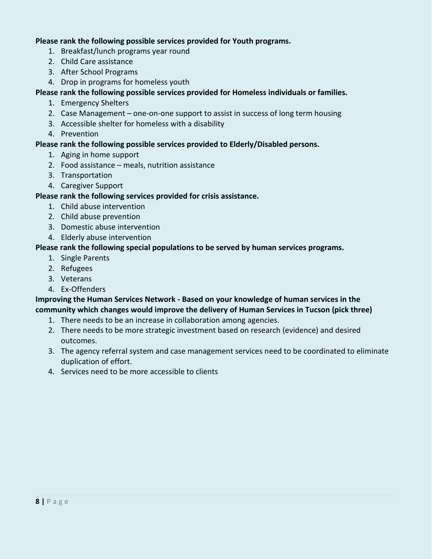#### **Please rank the following possible services provided for Youth programs.**

- 1. Breakfast/lunch programs year round
- 2. Child Care assistance
- 3. After School Programs
- 4. Drop in programs for homeless youth

### **Please rank the following possible services provided for Homeless individuals or families.**

- 1. Emergency Shelters
- 2. Case Management one-on-one support to assist in success of long term housing
- 3. Accessible shelter for homeless with a disability
- 4. Prevention

#### **Please rank the following possible services provided to Elderly/Disabled persons.**

- 1. Aging in home support
- 2. Food assistance meals, nutrition assistance
- 3. Transportation
- 4. Caregiver Support

### **Please rank the following services provided for crisis assistance.**

- 1. Child abuse intervention
- 2. Child abuse prevention
- 3. Domestic abuse intervention
- 4. Elderly abuse intervention

### **Please rank the following special populations to be served by human services programs.**

- 1. Single Parents
- 2. Refugees
- 3. Veterans
- 4. Ex-Offenders

## **Improving the Human Services Network - Based on your knowledge of human services in the community which changes would improve the delivery of Human Services in Tucson (pick three)**

- 1. There needs to be an increase in collaboration among agencies.
- 2. There needs to be more strategic investment based on research (evidence) and desired outcomes.
- 3. The agency referral system and case management services need to be coordinated to eliminate duplication of effort.
- 4. Services need to be more accessible to clients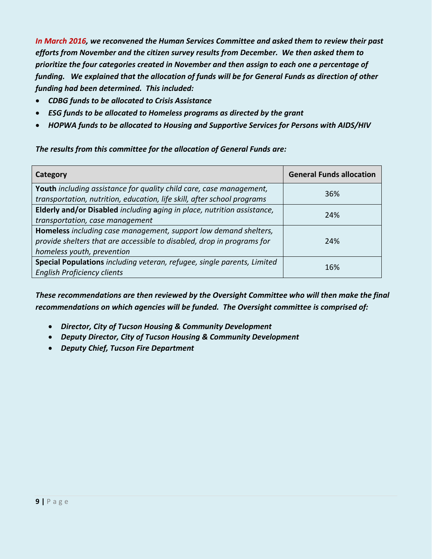*In March 2016, we reconvened the Human Services Committee and asked them to review their past efforts from November and the citizen survey results from December. We then asked them to prioritize the four categories created in November and then assign to each one a percentage of funding. We explained that the allocation of funds will be for General Funds as direction of other funding had been determined. This included:*

- *CDBG funds to be allocated to Crisis Assistance*
- *ESG funds to be allocated to Homeless programs as directed by the grant*
- *HOPWA funds to be allocated to Housing and Supportive Services for Persons with AIDS/HIV*

*The results from this committee for the allocation of General Funds are:*

| Category                                                                                                                                                                 | <b>General Funds allocation</b> |
|--------------------------------------------------------------------------------------------------------------------------------------------------------------------------|---------------------------------|
| Youth including assistance for quality child care, case management,<br>transportation, nutrition, education, life skill, after school programs                           | 36%                             |
| Elderly and/or Disabled including aging in place, nutrition assistance,<br>transportation, case management                                                               | 24%                             |
| Homeless including case management, support low demand shelters,<br>provide shelters that are accessible to disabled, drop in programs for<br>homeless youth, prevention | 24%                             |
| Special Populations including veteran, refugee, single parents, Limited<br><b>English Proficiency clients</b>                                                            | 16%                             |

*These recommendations are then reviewed by the Oversight Committee who will then make the final recommendations on which agencies will be funded. The Oversight committee is comprised of:*

- *Director, City of Tucson Housing & Community Development*
- *Deputy Director, City of Tucson Housing & Community Development*
- *Deputy Chief, Tucson Fire Department*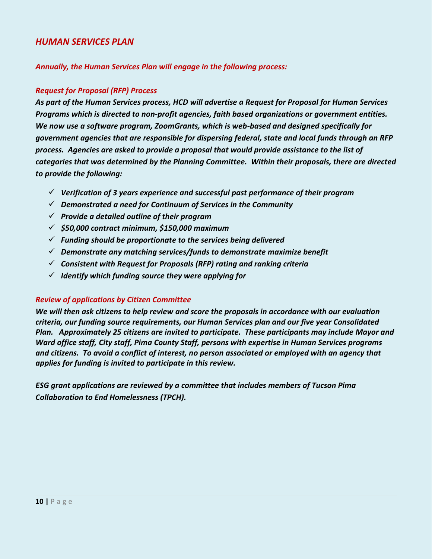#### *HUMAN SERVICES PLAN*

*Annually, the Human Services Plan will engage in the following process:*

#### *Request for Proposal (RFP) Process*

*As part of the Human Services process, HCD will advertise a Request for Proposal for Human Services Programs which is directed to non-profit agencies, faith based organizations or government entities. We now use a software program, ZoomGrants, which is web-based and designed specifically for government agencies that are responsible for dispersing federal, state and local funds through an RFP process. Agencies are asked to provide a proposal that would provide assistance to the list of categories that was determined by the Planning Committee. Within their proposals, there are directed to provide the following:*

- *Verification of 3 years experience and successful past performance of their program*
- *Demonstrated a need for Continuum of Services in the Community*
- *Provide a detailed outline of their program*
- *\$50,000 contract minimum, \$150,000 maximum*
- *Funding should be proportionate to the services being delivered*
- *Demonstrate any matching services/funds to demonstrate maximize benefit*
- *Consistent with Request for Proposals (RFP) rating and ranking criteria*
- *Identify which funding source they were applying for*

#### *Review of applications by Citizen Committee*

*We will then ask citizens to help review and score the proposals in accordance with our evaluation criteria, our funding source requirements, our Human Services plan and our five year Consolidated Plan. Approximately 25 citizens are invited to participate. These participants may include Mayor and Ward office staff, City staff, Pima County Staff, persons with expertise in Human Services programs and citizens. To avoid a conflict of interest, no person associated or employed with an agency that applies for funding is invited to participate in this review.*

*ESG grant applications are reviewed by a committee that includes members of Tucson Pima Collaboration to End Homelessness (TPCH).*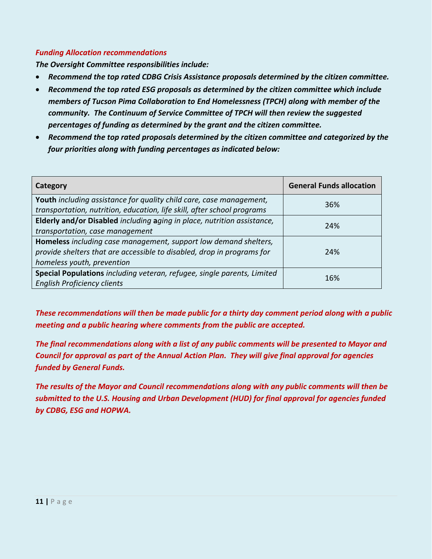#### *Funding Allocation recommendations*

*The Oversight Committee responsibilities include:*

- *Recommend the top rated CDBG Crisis Assistance proposals determined by the citizen committee.*
- *Recommend the top rated ESG proposals as determined by the citizen committee which include members of Tucson Pima Collaboration to End Homelessness (TPCH) along with member of the community. The Continuum of Service Committee of TPCH will then review the suggested percentages of funding as determined by the grant and the citizen committee.*
- *Recommend the top rated proposals determined by the citizen committee and categorized by the four priorities along with funding percentages as indicated below:*

| Category                                                                                                                                                                 | <b>General Funds allocation</b> |
|--------------------------------------------------------------------------------------------------------------------------------------------------------------------------|---------------------------------|
| Youth including assistance for quality child care, case management,<br>transportation, nutrition, education, life skill, after school programs                           | 36%                             |
| Elderly and/or Disabled including aging in place, nutrition assistance,<br>transportation, case management                                                               | 24%                             |
| Homeless including case management, support low demand shelters,<br>provide shelters that are accessible to disabled, drop in programs for<br>homeless youth, prevention | 24%                             |
| Special Populations including veteran, refugee, single parents, Limited<br><b>English Proficiency clients</b>                                                            | 16%                             |

*These recommendations will then be made public for a thirty day comment period along with a public meeting and a public hearing where comments from the public are accepted.* 

*The final recommendations along with a list of any public comments will be presented to Mayor and Council for approval as part of the Annual Action Plan. They will give final approval for agencies funded by General Funds.*

*The results of the Mayor and Council recommendations along with any public comments will then be submitted to the U.S. Housing and Urban Development (HUD) for final approval for agencies funded by CDBG, ESG and HOPWA.*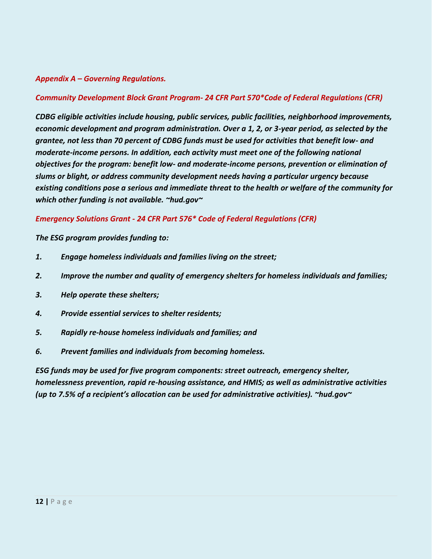#### *Appendix A – Governing Regulations.*

#### *Community Development Block Grant Program- 24 CFR Part 570\*Code of Federal Regulations (CFR)*

*CDBG eligible activities include housing, public services, public facilities, neighborhood improvements, economic development and program administration. Over a 1, 2, or 3-year period, as selected by the grantee, not less than 70 percent of CDBG funds must be used for activities that benefit low- and moderate-income persons. In addition, each activity must meet one of the following national objectives for the program: benefit low- and moderate-income persons, prevention or elimination of slums or blight, or address community development needs having a particular urgency because existing conditions pose a serious and immediate threat to the health or welfare of the community for which other funding is not available. ~hud.gov~*

*Emergency Solutions Grant - 24 CFR Part 576\* Code of Federal Regulations (CFR)*

*The ESG program provides funding to:*

- *1. Engage homeless individuals and families living on the street;*
- *2. Improve the number and quality of emergency shelters for homeless individuals and families;*
- *3. Help operate these shelters;*
- *4. Provide essential services to shelter residents;*
- *5. Rapidly re-house homeless individuals and families; and*
- *6. Prevent families and individuals from becoming homeless.*

*ESG funds may be used for five program components: street outreach, emergency shelter, homelessness prevention, rapid re-housing assistance, and HMIS; as well as administrative activities (up to 7.5% of a recipient's allocation can be used for administrative activities). ~hud.gov~*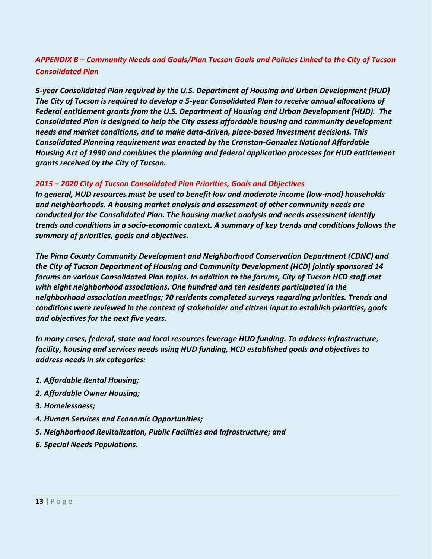# *APPENDIX B – Community Needs and Goals/Plan Tucson Goals and Policies Linked to the City of Tucson Consolidated Plan*

*5-year Consolidated Plan required by the U.S. Department of Housing and Urban Development (HUD) The City of Tucson is required to develop a 5-year Consolidated Plan to receive annual allocations of Federal entitlement grants from the U.S. Department of Housing and Urban Development (HUD). The Consolidated Plan is designed to help the City assess affordable housing and community development needs and market conditions, and to make data-driven, place-based investment decisions. This Consolidated Planning requirement was enacted by the Cranston-Gonzalez National Affordable Housing Act of 1990 and combines the planning and federal application processes for HUD entitlement grants received by the City of Tucson.* 

#### *2015 – 2020 City of Tucson Consolidated Plan Priorities, Goals and Objectives*

*In general, HUD resources must be used to benefit low and moderate income (low-mod) households and neighborhoods. A housing market analysis and assessment of other community needs are conducted for the Consolidated Plan. The housing market analysis and needs assessment identify trends and conditions in a socio-economic context. A summary of key trends and conditions follows the summary of priorities, goals and objectives.* 

*The Pima County Community Development and Neighborhood Conservation Department (CDNC) and the City of Tucson Department of Housing and Community Development (HCD) jointly sponsored 14 forums on various Consolidated Plan topics. In addition to the forums, City of Tucson HCD staff met with eight neighborhood associations. One hundred and ten residents participated in the neighborhood association meetings; 70 residents completed surveys regarding priorities. Trends and conditions were reviewed in the context of stakeholder and citizen input to establish priorities, goals and objectives for the next five years.* 

*In many cases, federal, state and local resources leverage HUD funding. To address infrastructure, facility, housing and services needs using HUD funding, HCD established goals and objectives to address needs in six categories:* 

- *1. Affordable Rental Housing;*
- *2. Affordable Owner Housing;*
- *3. Homelessness;*
- *4. Human Services and Economic Opportunities;*
- *5. Neighborhood Revitalization, Public Facilities and Infrastructure; and*
- *6. Special Needs Populations.*